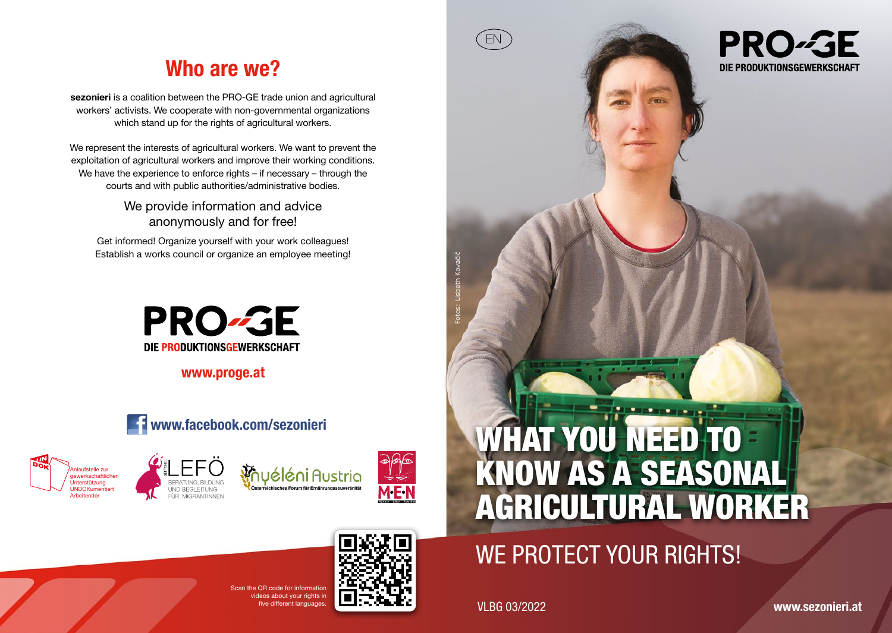### Who are we?

sezonieri is a coalition between the PRO-GE trade union and agricultural workers' activists. We cooperate with non-governmental organizations which stand up for the rights of agricultural workers.

We represent the interests of agricultural workers. We want to prevent the exploitation of agricultural workers and improve their working conditions. We have the experience to enforce rights – if necessary – through the courts and with public authorities/administrative bodies.

> We provide information and advice anonymously and for free!

Get informed! Organize yourself with your work colleagues! Establish a works council or organize an employee meeting!



www.proge.at



 $S_{\text{S}} \cap B$  and for information ideos about your rights in







## WHAT YOU NEED TO KNOW AS A SEASONAL AGRICULTURAL WORKER

## WE PROTECT YOUR RIGHTS!

ive different languages. **VLBG 03/2022** 

EN

www.sezonieri.at

# **PRO-GE**

DIE PRODUKTIONSGEWERKSCHAFT